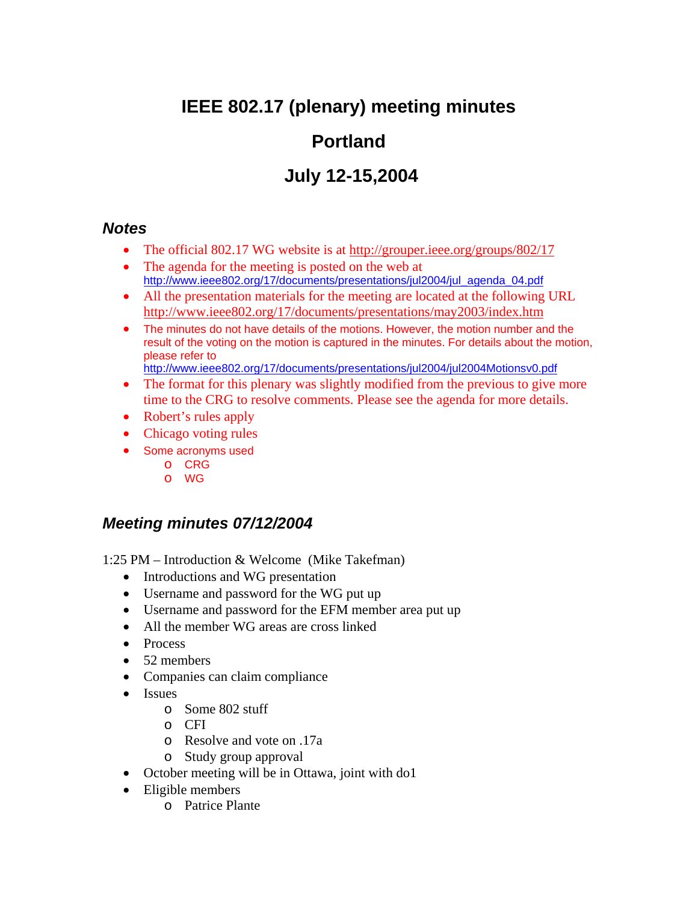# **IEEE 802.17 (plenary) meeting minutes**

# **Portland**

# **July 12-15,2004**

### *Notes*

- The official 802.17 WG website is at http://grouper.ieee.org/groups/802/17
- The agenda for the meeting is posted on the web at http://www.ieee802.org/17/documents/presentations/jul2004/jul\_agenda\_04.pdf
- All the presentation materials for the meeting are located at the following URL http://www.ieee802.org/17/documents/presentations/may2003/index.htm
- The minutes do not have details of the motions. However, the motion number and the result of the voting on the motion is captured in the minutes. For details about the motion, please refer to

http://www.ieee802.org/17/documents/presentations/jul2004/jul2004Motionsv0.pdf

- The format for this plenary was slightly modified from the previous to give more time to the CRG to resolve comments. Please see the agenda for more details.
- Robert's rules apply
- Chicago voting rules
- Some acronyms used
	- o CRG
	- o WG

## *Meeting minutes 07/12/2004*

1:25 PM – Introduction & Welcome (Mike Takefman)

- Introductions and WG presentation
- Username and password for the WG put up
- Username and password for the EFM member area put up
- All the member WG areas are cross linked
- Process
- 52 members
- Companies can claim compliance
- Issues
	- o Some 802 stuff
	- o CFI
	- o Resolve and vote on .17a
	- o Study group approval
- October meeting will be in Ottawa, joint with do1
- Eligible members
	- o Patrice Plante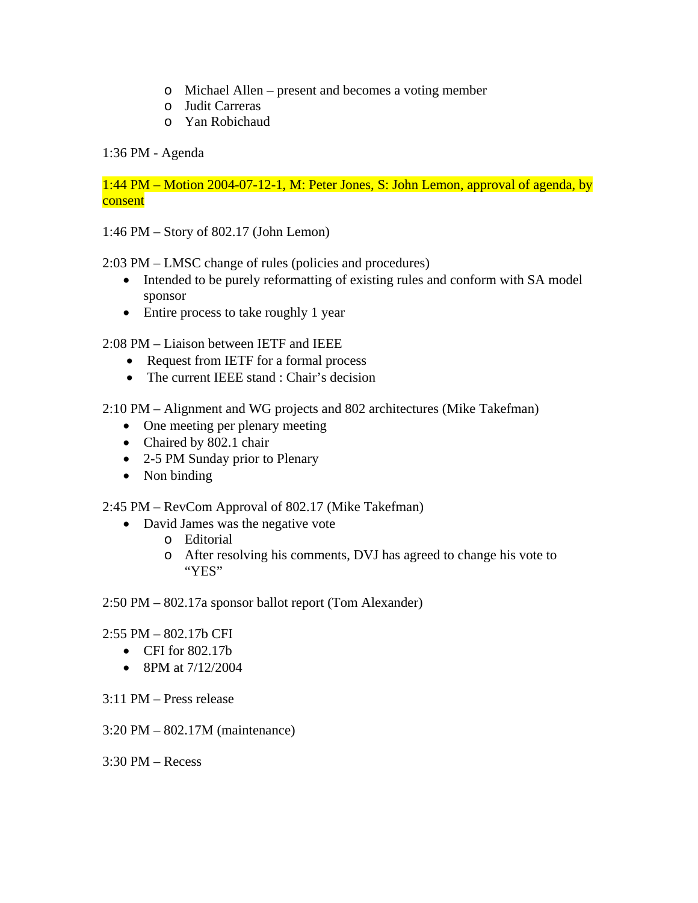- o Michael Allen present and becomes a voting member
- o Judit Carreras
- o Yan Robichaud

### 1:36 PM - Agenda

1:44 PM – Motion 2004-07-12-1, M: Peter Jones, S: John Lemon, approval of agenda, by consent

1:46 PM – Story of 802.17 (John Lemon)

2:03 PM – LMSC change of rules (policies and procedures)

- Intended to be purely reformatting of existing rules and conform with SA model sponsor
- Entire process to take roughly 1 year

2:08 PM – Liaison between IETF and IEEE

- Request from IETF for a formal process
- The current IEEE stand : Chair's decision

2:10 PM – Alignment and WG projects and 802 architectures (Mike Takefman)

- One meeting per plenary meeting
- Chaired by 802.1 chair
- 2-5 PM Sunday prior to Plenary
- Non binding

2:45 PM – RevCom Approval of 802.17 (Mike Takefman)

- David James was the negative vote
	- o Editorial
	- o After resolving his comments, DVJ has agreed to change his vote to "YES"

2:50 PM – 802.17a sponsor ballot report (Tom Alexander)

#### 2:55 PM – 802.17b CFI

- CFI for 802.17b
- 8PM at 7/12/2004
- 3:11 PM Press release
- 3:20 PM 802.17M (maintenance)

 $3:30$  PM – Recess